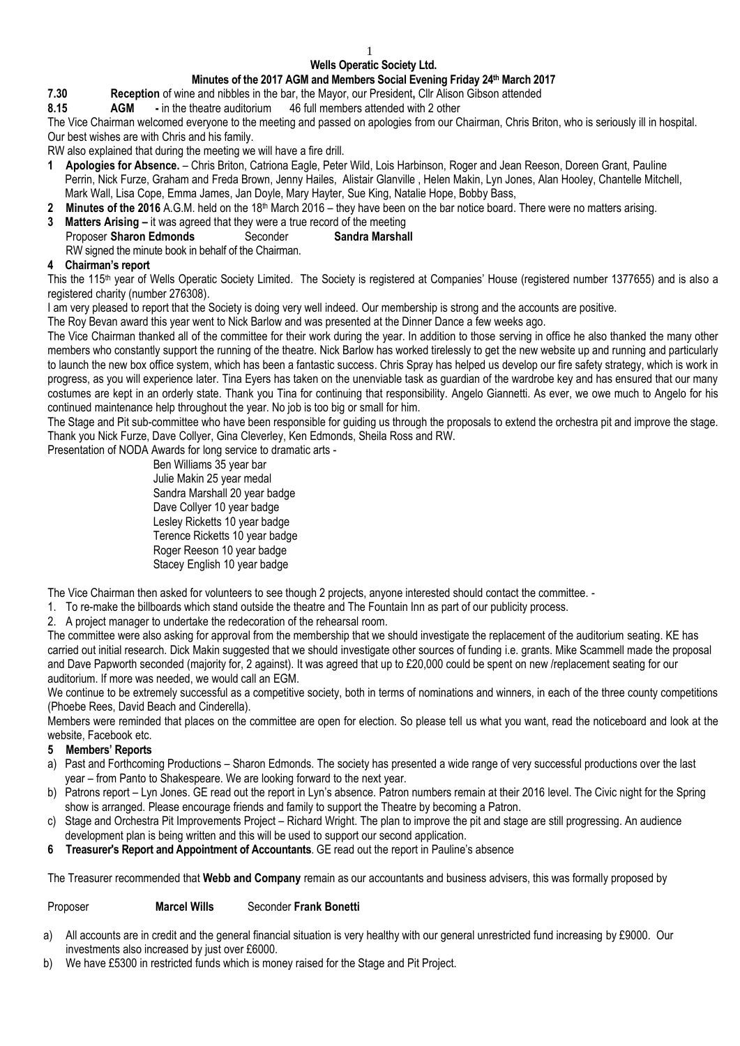#### 1

## **Wells Operatic Society Ltd.**

### **Minutes of the 2017 AGM and Members Social Evening Friday 24th March 2017**

- **7.30 Reception** of wine and nibbles in the bar, the Mayor, our President**,** Cllr Alison Gibson attended
- **8.15 AGM -** in the theatre auditorium 46 full members attended with 2 other
- The Vice Chairman welcomed everyone to the meeting and passed on apologies from our Chairman, Chris Briton, who is seriously ill in hospital. Our best wishes are with Chris and his family.

RW also explained that during the meeting we will have a fire drill.

- **1 Apologies for Absence.**  Chris Briton, Catriona Eagle, Peter Wild, Lois Harbinson, Roger and Jean Reeson, Doreen Grant, Pauline Perrin, Nick Furze, Graham and Freda Brown, Jenny Hailes, Alistair Glanville , Helen Makin, Lyn Jones, Alan Hooley, Chantelle Mitchell, Mark Wall, Lisa Cope, Emma James, Jan Doyle, Mary Hayter, Sue King, Natalie Hope, Bobby Bass,
- **2 Minutes of the 2016** A.G.M. held on the 18th March 2016 they have been on the bar notice board. There were no matters arising.
- **3 Matters Arising –** it was agreed that they were a true record of the meeting

# Proposer **Sharon Edmonds** Seconder **Sandra Marshall**

RW signed the minute book in behalf of the Chairman.

### **4 Chairman's report**

This the 115<sup>th</sup> year of Wells Operatic Society Limited. The Society is registered at Companies' House (registered number 1377655) and is also a registered charity (number 276308).

I am very pleased to report that the Society is doing very well indeed. Our membership is strong and the accounts are positive.

The Roy Bevan award this year went to Nick Barlow and was presented at the Dinner Dance a few weeks ago.

The Vice Chairman thanked all of the committee for their work during the year. In addition to those serving in office he also thanked the many other members who constantly support the running of the theatre. Nick Barlow has worked tirelessly to get the new website up and running and particularly to launch the new box office system, which has been a fantastic success. Chris Spray has helped us develop our fire safety strategy, which is work in progress, as you will experience later. Tina Eyers has taken on the unenviable task as guardian of the wardrobe key and has ensured that our many costumes are kept in an orderly state. Thank you Tina for continuing that responsibility. Angelo Giannetti. As ever, we owe much to Angelo for his continued maintenance help throughout the year. No job is too big or small for him.

The Stage and Pit sub-committee who have been responsible for guiding us through the proposals to extend the orchestra pit and improve the stage. Thank you Nick Furze, Dave Collyer, Gina Cleverley, Ken Edmonds, Sheila Ross and RW.

Presentation of NODA Awards for long service to dramatic arts -

Ben Williams 35 year bar Julie Makin 25 year medal Sandra Marshall 20 year badge Dave Collyer 10 year badge Lesley Ricketts 10 year badge Terence Ricketts 10 year badge Roger Reeson 10 year badge Stacey English 10 year badge

The Vice Chairman then asked for volunteers to see though 2 projects, anyone interested should contact the committee. -

- 1. To re-make the billboards which stand outside the theatre and The Fountain Inn as part of our publicity process.
- 2. A project manager to undertake the redecoration of the rehearsal room.

The committee were also asking for approval from the membership that we should investigate the replacement of the auditorium seating. KE has carried out initial research. Dick Makin suggested that we should investigate other sources of funding i.e. grants. Mike Scammell made the proposal and Dave Papworth seconded (majority for, 2 against). It was agreed that up to £20,000 could be spent on new /replacement seating for our auditorium. If more was needed, we would call an EGM.

We continue to be extremely successful as a competitive society, both in terms of nominations and winners, in each of the three county competitions (Phoebe Rees, David Beach and Cinderella).

Members were reminded that places on the committee are open for election. So please tell us what you want, read the noticeboard and look at the website, Facebook etc.

### **5 Members' Reports**

- a) Past and Forthcoming Productions Sharon Edmonds. The society has presented a wide range of very successful productions over the last year – from Panto to Shakespeare. We are looking forward to the next year.
- b) Patrons report Lyn Jones. GE read out the report in Lyn's absence. Patron numbers remain at their 2016 level. The Civic night for the Spring show is arranged. Please encourage friends and family to support the Theatre by becoming a Patron.
- c) Stage and Orchestra Pit Improvements Project Richard Wright. The plan to improve the pit and stage are still progressing. An audience development plan is being written and this will be used to support our second application.
- **6 Treasurer's Report and Appointment of Accountants**. GE read out the report in Pauline's absence

The Treasurer recommended that **Webb and Company** remain as our accountants and business advisers, this was formally proposed by

Proposer **Marcel Wills** Seconder **Frank Bonetti**

- a) All accounts are in credit and the general financial situation is very healthy with our general unrestricted fund increasing by £9000. Our investments also increased by just over £6000.
- b) We have £5300 in restricted funds which is money raised for the Stage and Pit Project.